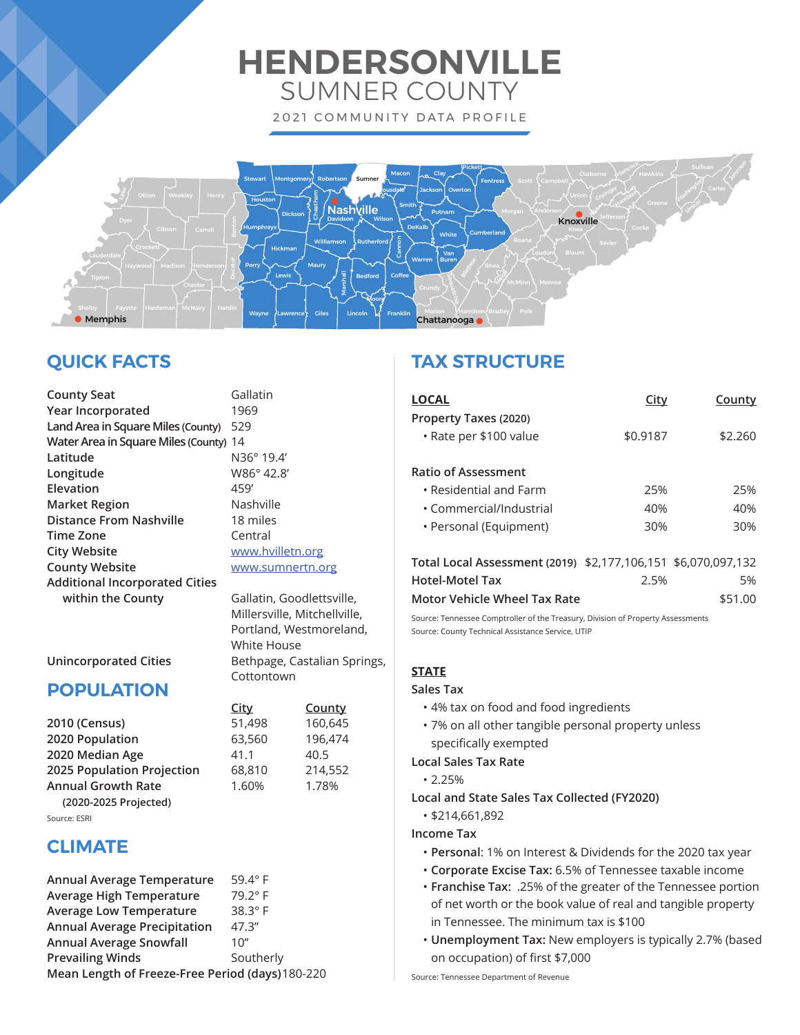# **HENDERSONVILLE** SUMNER COUNTY 2021 COMMUNITY DATA PROFILE

Lake Cumberland Fentress Pickett Meigs Polk Hancock Greene Washington Inicoi Carter Johnson wholen **Nashville** Montgomery Houston Perry Wayne /Lawrence Dickson Humphreys Hickman Lewis Robertson Cheatham Williamson **S**Rutherford **Maury** Giles Wilson Marshall Lincoln Bedford rousdale Macon Smith DeKalb Cannon Coffee Clay Jackson Putnam White Warren Van Buren Overton Moore Franklin Davidson Stewart | Montgomery | Robertson | Sumner Chattanooga Knoxville Memphis

# **QUICK FACTS**

**County Seat** Gallatin **Year Incorporated** 1969 **Land Area in Square Miles (County)** 529 **Water Area in Square Miles (County)** 14 **Latitude** N36° 19.4' **Longitude** W86° 42.8' **Elevation** 459' **Market Region** Nashville **Distance From Nashville** 18 miles **Time Zone** Central **City Website** www.hvilletn.org **County Website With Marson WWW.sumnertn.org Additional Incorporated Cities**  within the County **Gallatin**, Goodlettsville,

 Millersville, Mitchellville, Portland, Westmoreland, White House<br>Produces Communications Communications Communications Communications Communications Communications Communicati<br>Communications Communications Communications Communications Communications Communications Communica Bethpage, Castalian Springs, **Cottontown** 

 **City County**

| Unincorporated Cities |  |
|-----------------------|--|
|                       |  |

# **POPULATION**

**2010 (Census)** 51,498 160,645 **2020 Population** 63,560 196,474 **2020 Median Age 41.1** 40.5 **2025 Population Projection** 68,810 214,552 **Annual Growth Rate** 1.60% 1.78% **(2020-2025 Projected)** Source: ESRI

# **CLIMATE**

| Annual Average Temperature                       | $59.4^\circ$ F |  |
|--------------------------------------------------|----------------|--|
| Average High Temperature                         | 79.2° F        |  |
| <b>Average Low Temperature</b>                   | $38.3^\circ$ F |  |
| <b>Annual Average Precipitation</b>              | 47.3''         |  |
| <b>Annual Average Snowfall</b>                   | 10''           |  |
| <b>Prevailing Winds</b>                          | Southerly      |  |
| Mean Length of Freeze-Free Period (days) 180-220 |                |  |

# **TAX STRUCTURE**

| <b>LOCAL</b>                                    | <u>City</u> | <b>County</b> |
|-------------------------------------------------|-------------|---------------|
| Property Taxes (2020)<br>• Rate per \$100 value | \$0.9187    | \$2.260       |
| <b>Ratio of Assessment</b>                      |             |               |
| $\cdot$ Residential and Farm                    | 25%         | 25%           |
| • Commercial/Industrial                         | 40%         | 40%           |
| • Personal (Equipment)                          | 30%         | 30%           |

| Total Local Assessment (2019) \$2,177,106,151 \$6,070,097,132 |      |         |
|---------------------------------------------------------------|------|---------|
| <b>Hotel-Motel Tax</b>                                        | 2.5% | 5%      |
| Motor Vehicle Wheel Tax Rate                                  |      | \$51.00 |

Source: Tennessee Comptroller of the Treasury, Division of Property Assessments Source: County Technical Assistance Service, UTIP

# **STATE**

# **Sales Tax**

- 4% tax on food and food ingredients
- 7% on all other tangible personal property unless specifically exempted

# **Local Sales Tax Rate**

• 2.25%

**Local and State Sales Tax Collected (FY2020)**

• \$214,661,892

# **Income Tax**

- **Personal**: 1% on Interest & Dividends for the 2020 tax year
- **Corporate Excise Tax:** 6.5% of Tennessee taxable income
- **Franchise Tax:** .25% of the greater of the Tennessee portion of net worth or the book value of real and tangible property in Tennessee. The minimum tax is \$100
- **Unemployment Tax:** New employers is typically 2.7% (based on occupation) of first \$7,000

Source: Tennessee Department of Revenue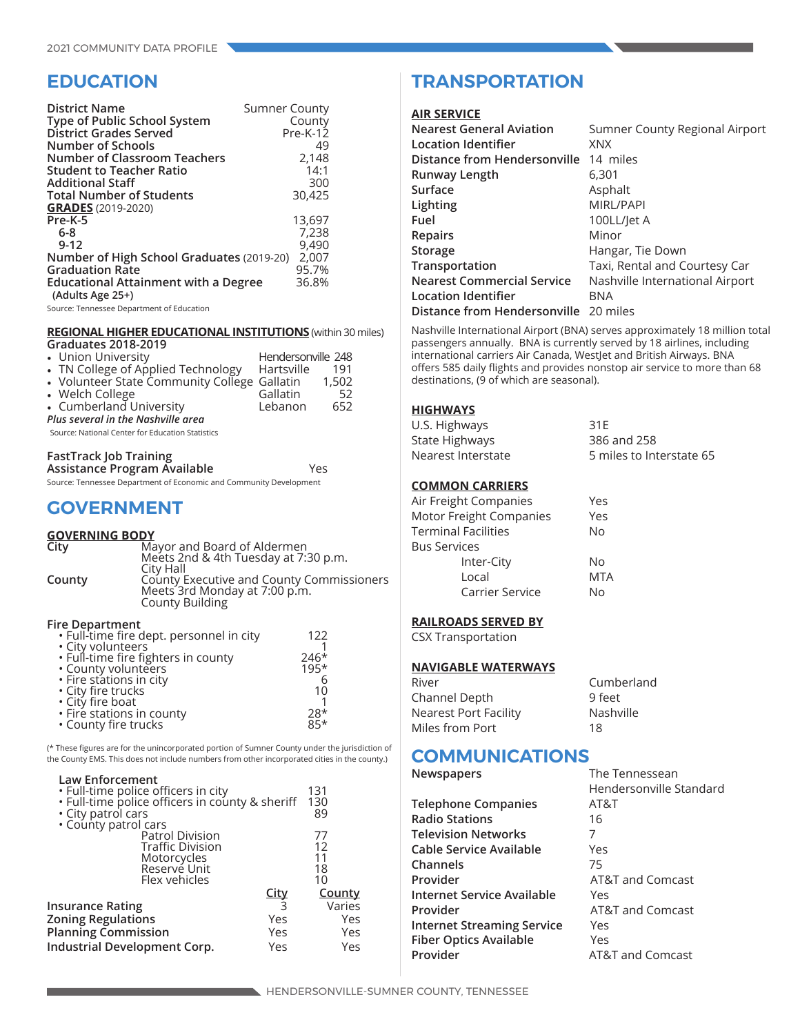# **EDUCATION**

| <b>District Name</b><br>Type of Public School System<br><b>District Grades Served</b> | <b>Sumner County</b><br>County<br>Pre-K-12 |
|---------------------------------------------------------------------------------------|--------------------------------------------|
| Number of Schools                                                                     | 49                                         |
| Number of Classroom Teachers                                                          | 2,148                                      |
| <b>Student to Teacher Ratio</b>                                                       | 14:1                                       |
| <b>Additional Staff</b>                                                               | 300                                        |
| <b>Total Number of Students</b>                                                       | 30,425                                     |
| <b>GRADES</b> (2019-2020)                                                             |                                            |
| $Pre-K-5$                                                                             | 13,697                                     |
| $6-8$                                                                                 | 7.238                                      |
| $9 - 12$                                                                              | 9,490                                      |
| Number of High School Graduates (2019-20)                                             | 2,007                                      |
| <b>Graduation Rate</b>                                                                | 95.7%                                      |
| <b>Educational Attainment with a Degree</b><br>(Adults Age 25+)                       | 36.8%                                      |
|                                                                                       |                                            |

Source: Tennessee Department of Education

#### **REGIONAL HIGHER EDUCATIONAL INSTITUTIONS** (within 30 miles)

# **Graduates 2018-2019**

| • Union University                               | Hendersonville 248 |       |  |
|--------------------------------------------------|--------------------|-------|--|
| • TN College of Applied Technology               | Hartsville         | 191   |  |
| • Volunteer State Community College Gallatin     |                    | 1,502 |  |
| • Welch College                                  | Gallatin           | 52    |  |
| • Cumberland University                          | Lebanon            | 652   |  |
| Plus several in the Nashville area               |                    |       |  |
| Source: National Center for Education Statistics |                    |       |  |

#### **FastTrack Job Training**

**Assistance Program Available** Yes Source: Tennessee Department of Economic and Community Development

# **GOVERNMENT**

### **GOVERNING BODY**

| City   | Mayor and Board of Aldermen               |
|--------|-------------------------------------------|
|        | Meets 2nd & 4th Tuesday at 7:30 p.m.      |
|        | City Hall                                 |
| County | County Executive and County Commissioners |
|        | Meets 3rd Monday at 7:00 p.m.             |
|        | <b>County Building</b>                    |

#### **Fire Department**

| · Full-time fire dept. personnel in city       | 122    |
|------------------------------------------------|--------|
| • City volunteers                              |        |
| · Full-time fire fighters in county            | $246*$ |
|                                                | $195*$ |
| • County volunteers<br>• Fire stations in city |        |
| • City fire trucks                             | 10     |
|                                                |        |
| • City fire boat<br>• Fire stations in county  | 28*    |
| • County fire trucks                           | $85*$  |

(\* These figures are for the unincorporated portion of Sumner County under the jurisdiction of the County EMS. This does not include numbers from other incorporated cities in the county.)

| <b>Law Enforcement</b><br>· Full-time police officers in city<br>· Full-time police officers in county & sheriff<br>• City patrol cars<br>• County patrol cars |             | 131<br>130<br>89 |
|----------------------------------------------------------------------------------------------------------------------------------------------------------------|-------------|------------------|
| Patrol Division                                                                                                                                                |             | 77               |
| Traffic Division                                                                                                                                               |             | 12               |
| Motorcycles<br>Reserve Unit                                                                                                                                    |             | 11               |
|                                                                                                                                                                |             | 18               |
| Flex vehicles                                                                                                                                                  |             | 10               |
|                                                                                                                                                                | <u>City</u> | <b>County</b>    |
| <b>Insurance Rating</b>                                                                                                                                        |             | Varies           |
| <b>Zoning Regulations</b>                                                                                                                                      | Yes         | Yes              |
| <b>Planning Commission</b>                                                                                                                                     | Yes         | Yes              |
| Industrial Development Corp.                                                                                                                                   | Yes         | Yes              |
|                                                                                                                                                                |             |                  |

# **TRANSPORTATION**

### **AIR SERVICE**

| Nearest General Aviation              | Sumner County Regional Airport  |
|---------------------------------------|---------------------------------|
| <b>Location Identifier</b>            | <b>XNX</b>                      |
| Distance from Hendersonville          | 14 miles                        |
| Runway Length                         | 6,301                           |
| Surface                               | Asphalt                         |
| Lighting                              | MIRL/PAPI                       |
| Fuel                                  | 100LL/let A                     |
| <b>Repairs</b>                        | Minor                           |
| Storage                               | Hangar, Tie Down                |
| Transportation                        | Taxi, Rental and Courtesy Car   |
| <b>Nearest Commercial Service</b>     | Nashville International Airport |
| Location Identifier                   | <b>BNA</b>                      |
| Distance from Hendersonville 20 miles |                                 |
|                                       |                                 |

Nashville International Airport (BNA) serves approximately 18 million total passengers annually. BNA is currently served by 18 airlines, including international carriers Air Canada, Westlet and British Airways. BNA offers 585 daily flights and provides nonstop air service to more than 68 destinations, (9 of which are seasonal).

### **HIGHWAYS**

| U.S. Highways      | 31E                      |
|--------------------|--------------------------|
| State Highways     | 386 and 258              |
| Nearest Interstate | 5 miles to Interstate 65 |

### **COMMON CARRIERS**

| Air Freight Companies      | Yes        |
|----------------------------|------------|
| Motor Freight Companies    | Yes        |
| <b>Terminal Facilities</b> | Nο         |
| <b>Bus Services</b>        |            |
| Inter-City                 | N٥         |
| Local                      | <b>MTA</b> |
| Carrier Service            | N٥         |

### **RAILROADS SERVED BY**

CSX Transportation

### **NAVIGABLE WATERWAYS**

| River                        | Cumberland |
|------------------------------|------------|
| Channel Depth                | 9 feet     |
| <b>Nearest Port Facility</b> | Nashville  |
| Miles from Port              | 18         |

# **COMMUNICATIONS**<br>Newspapers

| <u>papers</u>                     |                             |
|-----------------------------------|-----------------------------|
|                                   | Hendersonville Star         |
| <b>Telephone Companies</b>        | AT&T                        |
| <b>Radio Stations</b>             | 16                          |
| <b>Television Networks</b>        |                             |
| Cable Service Available           | Yes                         |
| Channels                          | 75                          |
| Provider                          | <b>AT&amp;T and Comcast</b> |
| Internet Service Available        | Yes                         |
| Provider                          | <b>AT&amp;T and Comcast</b> |
| <b>Internet Streaming Service</b> | Yes                         |
| <b>Fiber Optics Available</b>     | Yes                         |
| Provider                          | AT&T and Comcast            |

**The Tennessean** dersonville Standard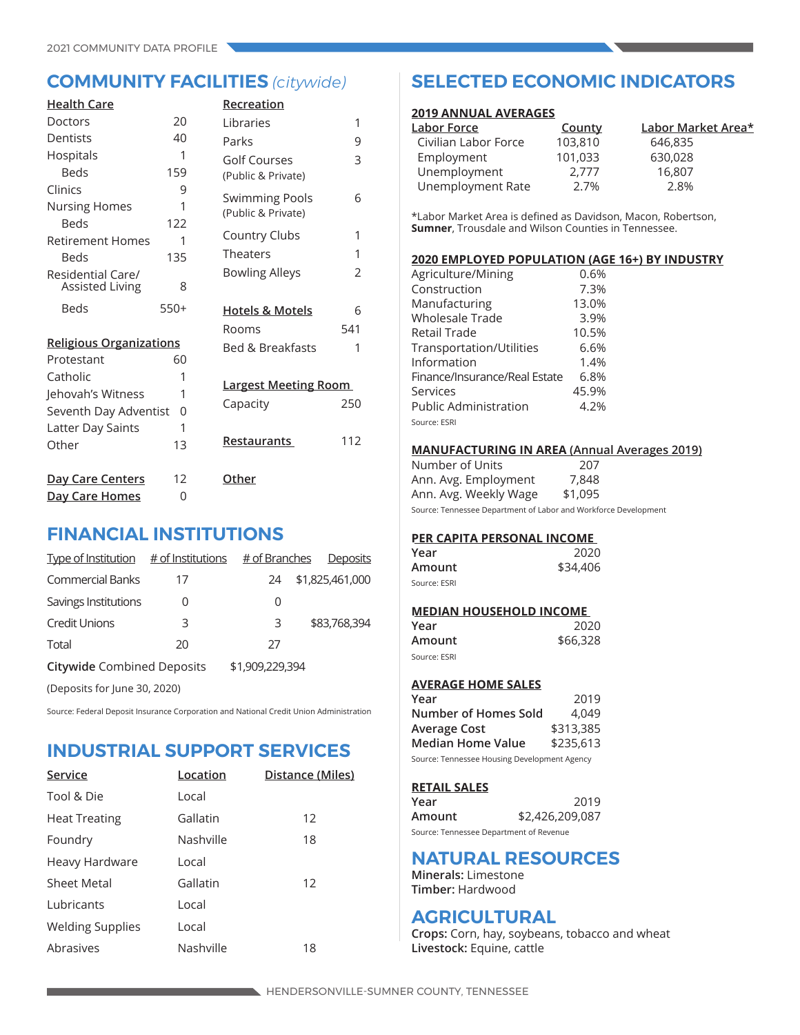| <b>Health Care</b>             |          | Recreation                                  |                |
|--------------------------------|----------|---------------------------------------------|----------------|
| Doctors                        | 20       | Libraries                                   | 1              |
| Dentists                       | 40       | Parks                                       | 9              |
| Hospitals                      | 1        | Golf Courses                                | 3              |
| Beds                           | 159      | (Public & Private)                          |                |
| Clinics                        | 9        |                                             |                |
| <b>Nursing Homes</b>           | 1        | <b>Swimming Pools</b><br>(Public & Private) | 6              |
| <b>Beds</b>                    | 122      |                                             |                |
| <b>Retirement Homes</b>        | 1        | Country Clubs                               | 1              |
| <b>Beds</b>                    | 135      | Theaters                                    | 1              |
| Residential Care/              |          | <b>Bowling Alleys</b>                       | $\overline{2}$ |
| Assisted Living                | 8        |                                             |                |
| Beds                           | $550+$   | <b>Hotels &amp; Motels</b>                  | 6              |
|                                |          | Rooms                                       | 541            |
| <b>Religious Organizations</b> |          | <b>Bed &amp; Breakfasts</b>                 | 1              |
| Protestant                     | 60       |                                             |                |
| Catholic                       | 1        | <b>Largest Meeting Room</b>                 |                |
| Jehovah's Witness              | 1        |                                             |                |
| Seventh Day Adventist          | $\Omega$ | Capacity                                    | 250            |
| Latter Day Saints              | 1        |                                             |                |
| Other                          | 13       | <b>Restaurants</b>                          | 112            |
| <b>Day Care Centers</b>        | 12       | Other                                       |                |
| Day Care Homes                 | 0        |                                             |                |

# **FINANCIAL INSTITUTIONS**

| Type of Institution $#$ of Institutions |    | # of Branches   | <b>Deposits</b> |
|-----------------------------------------|----|-----------------|-----------------|
| <b>Commercial Banks</b>                 | 17 | 24              | \$1,825,461,000 |
| Savings Institutions                    | O  | 0               |                 |
| <b>Credit Unions</b>                    | 3  | 3               | \$83,768,394    |
| Total                                   | 20 | 27              |                 |
| <b>Citywide Combined Deposits</b>       |    | \$1,909,229,394 |                 |
| (Deposits for June 30, 2020)            |    |                 |                 |

Source: Federal Deposit Insurance Corporation and National Credit Union Administration

# **INDUSTRIAL SUPPORT SERVICES**

| Service                 | Location  | Distance (Miles) |
|-------------------------|-----------|------------------|
| Tool & Die              | Local     |                  |
| <b>Heat Treating</b>    | Gallatin  | 12               |
| Foundry                 | Nashville | 18               |
| Heavy Hardware          | Local     |                  |
| <b>Sheet Metal</b>      | Gallatin  | 12               |
| Lubricants              | Local     |                  |
| <b>Welding Supplies</b> | Local     |                  |
| Abrasives               | Nashville | 18               |

# **COMMUNITY FACILITIES** *(citywide)* **SELECTED ECONOMIC INDICATORS**

### **2019 ANNUAL AVERAGES**

| County  | Labor Market Area* |
|---------|--------------------|
| 103,810 | 646,835            |
| 101,033 | 630,028            |
| 2.777   | 16,807             |
| 2.7%    | 2.8%               |
|         |                    |

\*Labor Market Area is defined as Davidson, Macon, Robertson, **Sumner**, Trousdale and Wilson Counties in Tennessee.

### **2020 EMPLOYED POPULATION (AGE 16+) BY INDUSTRY**

| Agriculture/Mining            | 0.6%  |
|-------------------------------|-------|
| Construction                  | 7.3%  |
| Manufacturing                 | 13.0% |
| <b>Wholesale Trade</b>        | 3.9%  |
| Retail Trade                  | 10.5% |
| Transportation/Utilities      | 6.6%  |
| Information                   | 1.4%  |
| Finance/Insurance/Real Estate | 6.8%  |
| Services                      | 45.9% |
| <b>Public Administration</b>  | 4.2%  |
| Source: ESRI                  |       |
|                               |       |

### **MANUFACTURING IN AREA (Annual Averages 2019)**

Number of Units 207 Ann. Avg. Employment 7,848 Ann. Avg. Weekly Wage \$1,095

Source: Tennessee Department of Labor and Workforce Development

# **PER CAPITA PERSONAL INCOME**

| Year         | 2020     |
|--------------|----------|
| Amount       | \$34,406 |
| Source: ESRI |          |

# **MEDIAN HOUSEHOLD INCOME**

| Year         | 2020     |
|--------------|----------|
| Amount       | \$66,328 |
| Source: ESRI |          |

# **AVERAGE HOME SALES**

| Year                                         | 2019      |  |  |
|----------------------------------------------|-----------|--|--|
| Number of Homes Sold                         | 4.049     |  |  |
| Average Cost                                 | \$313,385 |  |  |
| Median Home Value                            | \$235,613 |  |  |
| Source: Tennessee Housing Development Agency |           |  |  |

#### **RETAIL SALES**

| Year                                    | 2019            |
|-----------------------------------------|-----------------|
| Amount                                  | \$2,426,209,087 |
| Source: Tennessee Department of Revenue |                 |

# **NATURAL RESOURCES**

**Minerals:** Limestone **Timber:** Hardwood

# **AGRICULTURAL**

**Crops:** Corn, hay, soybeans, tobacco and wheat **Livestock:** Equine, cattle